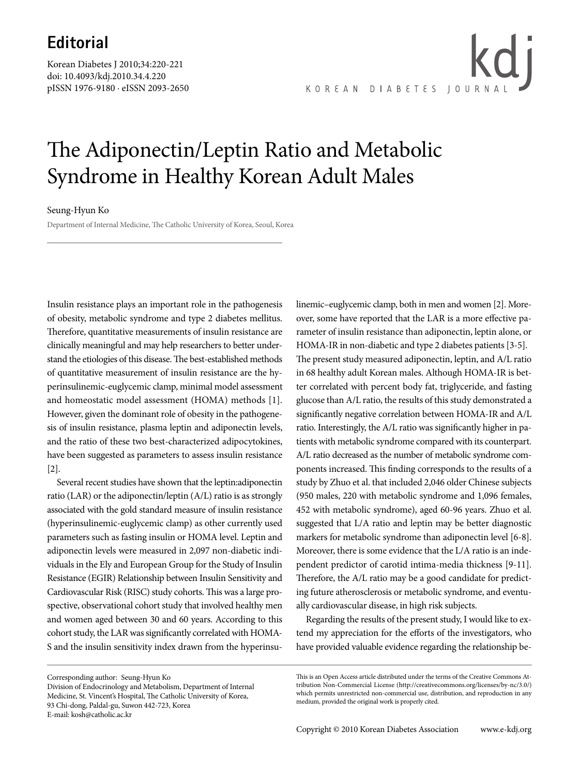Korean Diabetes J 2010;34:220-221 doi: 10.4093/kdj.2010.34.4.220 pISSN 1976-9180 · eISSN 2093-2650 KOREAN DIABETES JOURN

## The Adiponectin/Leptin Ratio and Metabolic Syndrome in Healthy Korean Adult Males

## Seung-Hyun Ko

Department of Internal Medicine, The Catholic University of Korea, Seoul, Korea

Insulin resistance plays an important role in the pathogenesis of obesity, metabolic syndrome and type 2 diabetes mellitus. Therefore, quantitative measurements of insulin resistance are clinically meaningful and may help researchers to better understand the etiologies of this disease. The best-established methods of quantitative measurement of insulin resistance are the hyperinsulinemic-euglycemic clamp, minimal model assessment and homeostatic model assessment (HOMA) methods [1]. However, given the dominant role of obesity in the pathogenesis of insulin resistance, plasma leptin and adiponectin levels, and the ratio of these two best-characterized adipocytokines, have been suggested as parameters to assess insulin resistance [2].

Several recent studies have shown that the leptin:adiponectin ratio (LAR) or the adiponectin/leptin (A/L) ratio is as strongly associated with the gold standard measure of insulin resistance (hyperinsulinemic-euglycemic clamp) as other currently used parameters such as fasting insulin or HOMA level. Leptin and adiponectin levels were measured in 2,097 non-diabetic individuals in the Ely and European Group for the Study of Insulin Resistance (EGIR) Relationship between Insulin Sensitivity and Cardiovascular Risk (RISC) study cohorts. This was a large prospective, observational cohort study that involved healthy men and women aged between 30 and 60 years. According to this cohort study, the LAR was significantly correlated with HOMA-S and the insulin sensitivity index drawn from the hyperinsu-

Corresponding author: Seung-Hyun Ko Division of Endocrinology and Metabolism, Department of Internal Medicine, St. Vincent's Hospital, The Catholic University of Korea, 93 Chi-dong, Paldal-gu, Suwon 442-723, Korea

E-mail: kosh@catholic.ac.kr

linemic–euglycemic clamp, both in men and women [2]. Moreover, some have reported that the LAR is a more effective parameter of insulin resistance than adiponectin, leptin alone, or HOMA-IR in non-diabetic and type 2 diabetes patients [3-5]. The present study measured adiponectin, leptin, and A/L ratio in 68 healthy adult Korean males. Although HOMA-IR is better correlated with percent body fat, triglyceride, and fasting glucose than A/L ratio, the results of this study demonstrated a significantly negative correlation between HOMA-IR and A/L ratio. Interestingly, the A/L ratio was significantly higher in patients with metabolic syndrome compared with its counterpart. A/L ratio decreased as the number of metabolic syndrome components increased. This finding corresponds to the results of a study by Zhuo et al. that included 2,046 older Chinese subjects (950 males, 220 with metabolic syndrome and 1,096 females, 452 with metabolic syndrome), aged 60-96 years. Zhuo et al. suggested that L/A ratio and leptin may be better diagnostic markers for metabolic syndrome than adiponectin level [6-8]. Moreover, there is some evidence that the L/A ratio is an independent predictor of carotid intima-media thickness [9-11]. Therefore, the A/L ratio may be a good candidate for predicting future atherosclerosis or metabolic syndrome, and eventually cardiovascular disease, in high risk subjects.

Regarding the results of the present study, I would like to extend my appreciation for the efforts of the investigators, who have provided valuable evidence regarding the relationship be-

This is an Open Access article distributed under the terms of the Creative Commons Attribution Non-Commercial License (http://creativecommons.org/licenses/by-nc/3.0/) which permits unrestricted non-commercial use, distribution, and reproduction in any medium, provided the original work is properly cited.